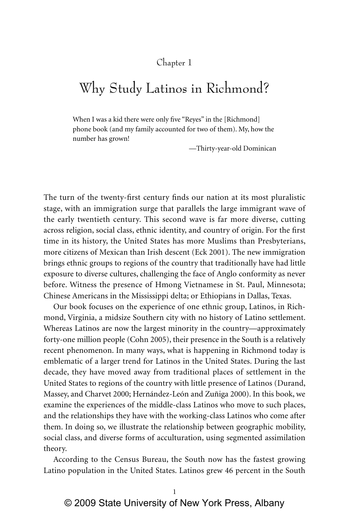### Chapter 1

# Why Study Latinos in Richmond?

When I was a kid there were only five "Reyes" in the [Richmond] phone book (and my family accounted for two of them). My, how the number has grown!

—Thirty-year-old Dominican

The turn of the twenty-first century finds our nation at its most pluralistic stage, with an immigration surge that parallels the large immigrant wave of the early twentieth century. This second wave is far more diverse, cutting across religion, social class, ethnic identity, and country of origin. For the first time in its history, the United States has more Muslims than Presbyterians, more citizens of Mexican than Irish descent (Eck 2001). The new immigration brings ethnic groups to regions of the country that traditionally have had little exposure to diverse cultures, challenging the face of Anglo conformity as never before. Witness the presence of Hmong Vietnamese in St. Paul, Minnesota; Chinese Americans in the Mississippi delta; or Ethiopians in Dallas, Texas.

Our book focuses on the experience of one ethnic group, Latinos, in Richmond, Virginia, a midsize Southern city with no history of Latino settlement. Whereas Latinos are now the largest minority in the country—approximately forty-one million people (Cohn 2005), their presence in the South is a relatively recent phenomenon. In many ways, what is happening in Richmond today is emblematic of a larger trend for Latinos in the United States. During the last decade, they have moved away from traditional places of settlement in the United States to regions of the country with little presence of Latinos (Durand, Massey, and Charvet 2000; Hernández-León and Zuñiga 2000). In this book, we examine the experiences of the middle-class Latinos who move to such places, and the relationships they have with the working-class Latinos who come after them. In doing so, we illustrate the relationship between geographic mobility, social class, and diverse forms of acculturation, using segmented assimilation theory.

According to the Census Bureau, the South now has the fastest growing Latino population in the United States. Latinos grew 46 percent in the South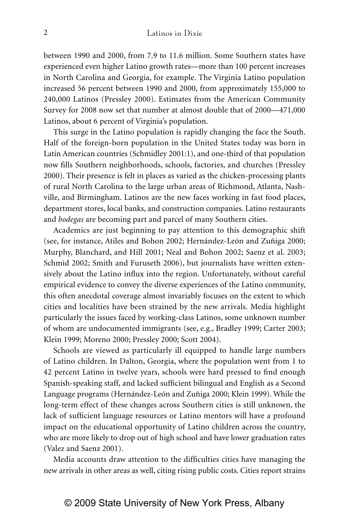### 2 Latinos in Dixie

between 1990 and 2000, from 7.9 to 11.6 million. Some Southern states have experienced even higher Latino growth rates—more than 100 percent increases in North Carolina and Georgia, for example. The Virginia Latino population increased 56 percent between 1990 and 2000, from approximately 155,000 to 240,000 Latinos (Pressley 2000). Estimates from the American Community Survey for 2008 now set that number at almost double that of 2000—471,000 Latinos, about 6 percent of Virginia's population.

This surge in the Latino population is rapidly changing the face the South. Half of the foreign-born population in the United States today was born in Latin American countries (Schmidley 2001:1), and one-third of that population now fills Southern neighborhoods, schools, factories, and churches (Pressley 2000). Their presence is felt in places as varied as the chicken-processing plants of rural North Carolina to the large urban areas of Richmond, Atlanta, Nashville, and Birmingham. Latinos are the new faces working in fast food places, department stores, local banks, and construction companies. Latino restaurants and *bodegas* are becoming part and parcel of many Southern cities.

Academics are just beginning to pay attention to this demographic shift (see, for instance, Atiles and Bohon 2002; Hernández-León and Zuñiga 2000; Murphy, Blanchard, and Hill 2001; Neal and Bohon 2002; Saenz et al. 2003; Schmid 2002; Smith and Furuseth 2006), but journalists have written extensively about the Latino influx into the region. Unfortunately, without careful empirical evidence to convey the diverse experiences of the Latino community, this often anecdotal coverage almost invariably focuses on the extent to which cities and localities have been strained by the new arrivals. Media highlight particularly the issues faced by working-class Latinos, some unknown number of whom are undocumented immigrants (see, e.g., Bradley 1999; Carter 2003; Klein 1999; Moreno 2000; Pressley 2000; Scott 2004).

Schools are viewed as particularly ill equipped to handle large numbers of Latino children. In Dalton, Georgia, where the population went from 1 to 42 percent Latino in twelve years, schools were hard pressed to find enough Spanish-speaking staff, and lacked sufficient bilingual and English as a Second Language programs (Hernández-León and Zuñiga 2000; Klein 1999). While the long-term effect of these changes across Southern cities is still unknown, the lack of sufficient language resources or Latino mentors will have a profound impact on the educational opportunity of Latino children across the country, who are more likely to drop out of high school and have lower graduation rates (Valez and Saenz 2001).

Media accounts draw attention to the difficulties cities have managing the new arrivals in other areas as well, citing rising public costs. Cities report strains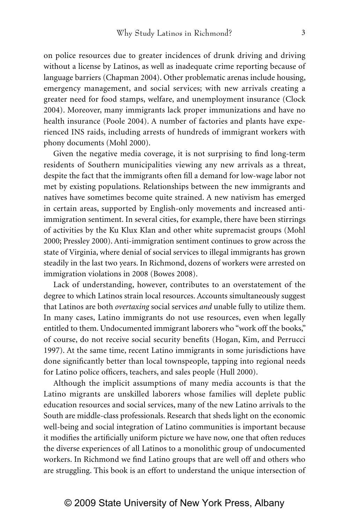on police resources due to greater incidences of drunk driving and driving without a license by Latinos, as well as inadequate crime reporting because of language barriers (Chapman 2004). Other problematic arenas include housing, emergency management, and social services; with new arrivals creating a greater need for food stamps, welfare, and unemployment insurance (Clock 2004). Moreover, many immigrants lack proper immunizations and have no health insurance (Poole 2004). A number of factories and plants have experienced INS raids, including arrests of hundreds of immigrant workers with phony documents (Mohl 2000).

Given the negative media coverage, it is not surprising to find long-term residents of Southern municipalities viewing any new arrivals as a threat, despite the fact that the immigrants often fill a demand for low-wage labor not met by existing populations. Relationships between the new immigrants and natives have sometimes become quite strained. A new nativism has emerged in certain areas, supported by English-only movements and increased antiimmigration sentiment. In several cities, for example, there have been stirrings of activities by the Ku Klux Klan and other white supremacist groups (Mohl 2000; Pressley 2000). Anti-immigration sentiment continues to grow across the state of Virginia, where denial of social services to illegal immigrants has grown steadily in the last two years. In Richmond, dozens of workers were arrested on immigration violations in 2008 (Bowes 2008).

Lack of understanding, however, contributes to an overstatement of the degree to which Latinos strain local resources. Accounts simultaneously suggest that Latinos are both *overtaxing* social services *and* unable fully to utilize them. In many cases, Latino immigrants do not use resources, even when legally entitled to them. Undocumented immigrant laborers who "work off the books," of course, do not receive social security benefits (Hogan, Kim, and Perrucci 1997). At the same time, recent Latino immigrants in some jurisdictions have done significantly better than local townspeople, tapping into regional needs for Latino police officers, teachers, and sales people (Hull 2000).

Although the implicit assumptions of many media accounts is that the Latino migrants are unskilled laborers whose families will deplete public education resources and social services, many of the new Latino arrivals to the South are middle-class professionals. Research that sheds light on the economic well-being and social integration of Latino communities is important because it modifies the artificially uniform picture we have now, one that often reduces the diverse experiences of all Latinos to a monolithic group of undocumented workers. In Richmond we find Latino groups that are well off and others who are struggling. This book is an effort to understand the unique intersection of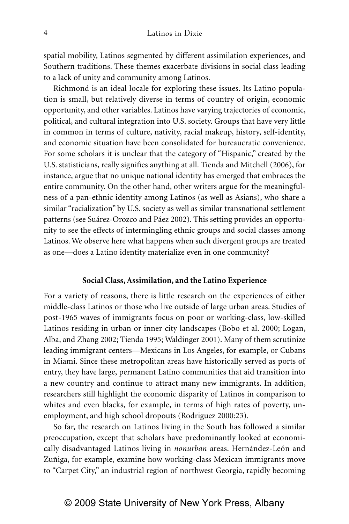spatial mobility, Latinos segmented by different assimilation experiences, and Southern traditions. These themes exacerbate divisions in social class leading to a lack of unity and community among Latinos.

Richmond is an ideal locale for exploring these issues. Its Latino population is small, but relatively diverse in terms of country of origin, economic opportunity, and other variables. Latinos have varying trajectories of economic, political, and cultural integration into U.S. society. Groups that have very little in common in terms of culture, nativity, racial makeup, history, self-identity, and economic situation have been consolidated for bureaucratic convenience. For some scholars it is unclear that the category of "Hispanic," created by the U.S. statisticians, really signifies anything at all. Tienda and Mitchell (2006), for instance, argue that no unique national identity has emerged that embraces the entire community. On the other hand, other writers argue for the meaningfulness of a pan-ethnic identity among Latinos (as well as Asians), who share a similar "racialization" by U.S. society as well as similar transnational settlement patterns (see Suárez-Orozco and Páez 2002). This setting provides an opportunity to see the effects of intermingling ethnic groups and social classes among Latinos. We observe here what happens when such divergent groups are treated as one—does a Latino identity materialize even in one community?

#### **Social Class, Assimilation, and the Latino Experience**

For a variety of reasons, there is little research on the experiences of either middle-class Latinos or those who live outside of large urban areas. Studies of post-1965 waves of immigrants focus on poor or working-class, low-skilled Latinos residing in urban or inner city landscapes (Bobo et al. 2000; Logan, Alba, and Zhang 2002; Tienda 1995; Waldinger 2001). Many of them scrutinize leading immigrant centers—Mexicans in Los Angeles, for example, or Cubans in Miami. Since these metropolitan areas have historically served as ports of entry, they have large, permanent Latino communities that aid transition into a new country and continue to attract many new immigrants. In addition, researchers still highlight the economic disparity of Latinos in comparison to whites and even blacks, for example, in terms of high rates of poverty, unemployment, and high school dropouts (Rodriguez 2000:23).

So far, the research on Latinos living in the South has followed a similar preoccupation, except that scholars have predominantly looked at economically disadvantaged Latinos living in *nonurban* areas. Hernández-León and Zuñiga, for example, examine how working-class Mexican immigrants move to "Carpet City," an industrial region of northwest Georgia, rapidly becoming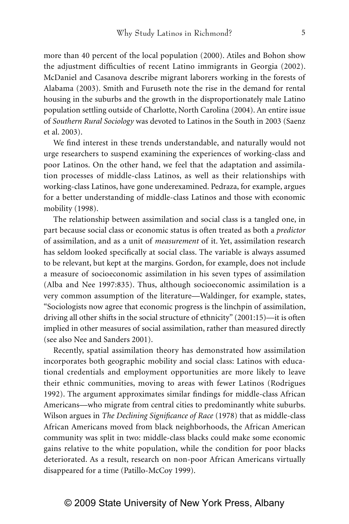more than 40 percent of the local population (2000). Atiles and Bohon show the adjustment difficulties of recent Latino immigrants in Georgia (2002). McDaniel and Casanova describe migrant laborers working in the forests of Alabama (2003). Smith and Furuseth note the rise in the demand for rental housing in the suburbs and the growth in the disproportionately male Latino population settling outside of Charlotte, North Carolina (2004). An entire issue of *Southern Rural Sociology* was devoted to Latinos in the South in 2003 (Saenz et al. 2003).

We find interest in these trends understandable, and naturally would not urge researchers to suspend examining the experiences of working-class and poor Latinos. On the other hand, we feel that the adaptation and assimilation processes of middle-class Latinos, as well as their relationships with working-class Latinos, have gone underexamined. Pedraza, for example, argues for a better understanding of middle-class Latinos and those with economic mobility (1998).

The relationship between assimilation and social class is a tangled one, in part because social class or economic status is often treated as both a *predictor* of assimilation, and as a unit of *measurement* of it. Yet, assimilation research has seldom looked specifically at social class. The variable is always assumed to be relevant, but kept at the margins. Gordon, for example, does not include a measure of socioeconomic assimilation in his seven types of assimilation (Alba and Nee 1997:835). Thus, although socioeconomic assimilation is a very common assumption of the literature—Waldinger, for example, states, "Sociologists now agree that economic progress is the linchpin of assimilation, driving all other shifts in the social structure of ethnicity" (2001:15)—it is often implied in other measures of social assimilation, rather than measured directly (see also Nee and Sanders 2001).

Recently, spatial assimilation theory has demonstrated how assimilation incorporates both geographic mobility and social class: Latinos with educational credentials and employment opportunities are more likely to leave their ethnic communities, moving to areas with fewer Latinos (Rodrigues 1992). The argument approximates similar findings for middle-class African Americans—who migrate from central cities to predominantly white suburbs. Wilson argues in *The Declining Significance of Race* (1978) that as middle-class African Americans moved from black neighborhoods, the African American community was split in two: middle-class blacks could make some economic gains relative to the white population, while the condition for poor blacks deteriorated. As a result, research on non-poor African Americans virtually disappeared for a time (Patillo-McCoy 1999).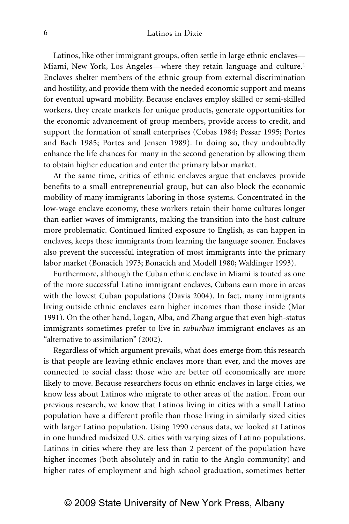Latinos, like other immigrant groups, often settle in large ethnic enclaves— Miami, New York, Los Angeles—where they retain language and culture.<sup>1</sup> Enclaves shelter members of the ethnic group from external discrimination and hostility, and provide them with the needed economic support and means for eventual upward mobility. Because enclaves employ skilled or semi-skilled workers, they create markets for unique products, generate opportunities for the economic advancement of group members, provide access to credit, and support the formation of small enterprises (Cobas 1984; Pessar 1995; Portes and Bach 1985; Portes and Jensen 1989). In doing so, they undoubtedly enhance the life chances for many in the second generation by allowing them to obtain higher education and enter the primary labor market.

At the same time, critics of ethnic enclaves argue that enclaves provide benefits to a small entrepreneurial group, but can also block the economic mobility of many immigrants laboring in those systems. Concentrated in the low-wage enclave economy, these workers retain their home cultures longer than earlier waves of immigrants, making the transition into the host culture more problematic. Continued limited exposure to English, as can happen in enclaves, keeps these immigrants from learning the language sooner. Enclaves also prevent the successful integration of most immigrants into the primary labor market (Bonacich 1973; Bonacich and Modell 1980; Waldinger 1993).

Furthermore, although the Cuban ethnic enclave in Miami is touted as one of the more successful Latino immigrant enclaves, Cubans earn more in areas with the lowest Cuban populations (Davis 2004). In fact, many immigrants living outside ethnic enclaves earn higher incomes than those inside (Mar 1991). On the other hand, Logan, Alba, and Zhang argue that even high-status immigrants sometimes prefer to live in *suburban* immigrant enclaves as an "alternative to assimilation" (2002).

Regardless of which argument prevails, what does emerge from this research is that people are leaving ethnic enclaves more than ever, and the moves are connected to social class: those who are better off economically are more likely to move. Because researchers focus on ethnic enclaves in large cities, we know less about Latinos who migrate to other areas of the nation. From our previous research, we know that Latinos living in cities with a small Latino population have a different profile than those living in similarly sized cities with larger Latino population. Using 1990 census data, we looked at Latinos in one hundred midsized U.S. cities with varying sizes of Latino populations. Latinos in cities where they are less than 2 percent of the population have higher incomes (both absolutely and in ratio to the Anglo community) and higher rates of employment and high school graduation, sometimes better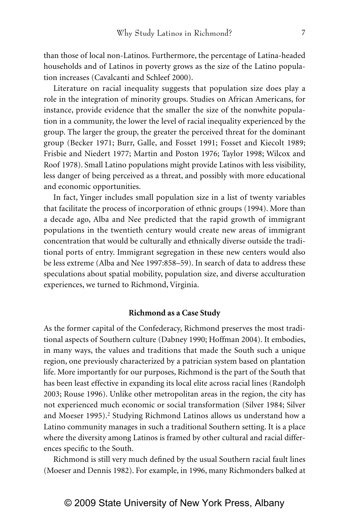than those of local non-Latinos. Furthermore, the percentage of Latina-headed households and of Latinos in poverty grows as the size of the Latino population increases (Cavalcanti and Schleef 2000).

Literature on racial inequality suggests that population size does play a role in the integration of minority groups. Studies on African Americans, for instance, provide evidence that the smaller the size of the nonwhite population in a community, the lower the level of racial inequality experienced by the group. The larger the group, the greater the perceived threat for the dominant group (Becker 1971; Burr, Galle, and Fosset 1991; Fosset and Kiecolt 1989; Frisbie and Niedert 1977; Martin and Poston 1976; Taylor 1998; Wilcox and Roof 1978). Small Latino populations might provide Latinos with less visibility, less danger of being perceived as a threat, and possibly with more educational and economic opportunities.

In fact, Yinger includes small population size in a list of twenty variables that facilitate the process of incorporation of ethnic groups (1994). More than a decade ago, Alba and Nee predicted that the rapid growth of immigrant populations in the twentieth century would create new areas of immigrant concentration that would be culturally and ethnically diverse outside the traditional ports of entry. Immigrant segregation in these new centers would also be less extreme (Alba and Nee 1997:858–59). In search of data to address these speculations about spatial mobility, population size, and diverse acculturation experiences, we turned to Richmond, Virginia.

#### **Richmond as a Case Study**

As the former capital of the Confederacy, Richmond preserves the most traditional aspects of Southern culture (Dabney 1990; Hoffman 2004). It embodies, in many ways, the values and traditions that made the South such a unique region, one previously characterized by a patrician system based on plantation life. More importantly for our purposes, Richmond is the part of the South that has been least effective in expanding its local elite across racial lines (Randolph 2003; Rouse 1996). Unlike other metropolitan areas in the region, the city has not experienced much economic or social transformation (Silver 1984; Silver and Moeser 1995).<sup>2</sup> Studying Richmond Latinos allows us understand how a Latino community manages in such a traditional Southern setting. It is a place where the diversity among Latinos is framed by other cultural and racial differences specific to the South.

Richmond is still very much defined by the usual Southern racial fault lines (Moeser and Dennis 1982). For example, in 1996, many Richmonders balked at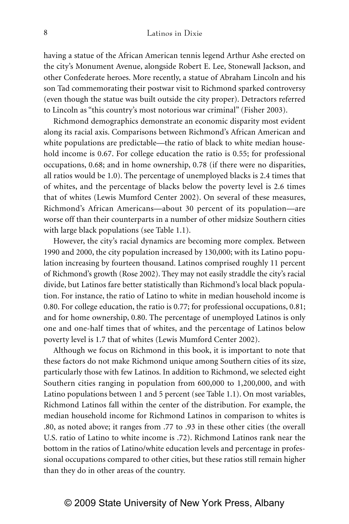having a statue of the African American tennis legend Arthur Ashe erected on the city's Monument Avenue, alongside Robert E. Lee, Stonewall Jackson, and other Confederate heroes. More recently, a statue of Abraham Lincoln and his son Tad commemorating their postwar visit to Richmond sparked controversy (even though the statue was built outside the city proper). Detractors referred to Lincoln as "this country's most notorious war criminal" (Fisher 2003).

Richmond demographics demonstrate an economic disparity most evident along its racial axis. Comparisons between Richmond's African American and white populations are predictable—the ratio of black to white median household income is 0.67. For college education the ratio is 0.55; for professional occupations, 0.68; and in home ownership, 0.78 (if there were no disparities, all ratios would be 1.0). The percentage of unemployed blacks is 2.4 times that of whites, and the percentage of blacks below the poverty level is 2.6 times that of whites (Lewis Mumford Center 2002). On several of these measures, Richmond's African Americans—about 30 percent of its population—are worse off than their counterparts in a number of other midsize Southern cities with large black populations (see Table 1.1).

However, the city's racial dynamics are becoming more complex. Between 1990 and 2000, the city population increased by 130,000; with its Latino population increasing by fourteen thousand. Latinos comprised roughly 11 percent of Richmond's growth (Rose 2002). They may not easily straddle the city's racial divide, but Latinos fare better statistically than Richmond's local black population. For instance, the ratio of Latino to white in median household income is 0.80. For college education, the ratio is 0.77; for professional occupations, 0.81; and for home ownership, 0.80. The percentage of unemployed Latinos is only one and one-half times that of whites, and the percentage of Latinos below poverty level is 1.7 that of whites (Lewis Mumford Center 2002).

Although we focus on Richmond in this book, it is important to note that these factors do not make Richmond unique among Southern cities of its size, particularly those with few Latinos. In addition to Richmond, we selected eight Southern cities ranging in population from 600,000 to 1,200,000, and with Latino populations between 1 and 5 percent (see Table 1.1). On most variables, Richmond Latinos fall within the center of the distribution. For example, the median household income for Richmond Latinos in comparison to whites is .80, as noted above; it ranges from .77 to .93 in these other cities (the overall U.S. ratio of Latino to white income is .72). Richmond Latinos rank near the bottom in the ratios of Latino/white education levels and percentage in professional occupations compared to other cities, but these ratios still remain higher than they do in other areas of the country.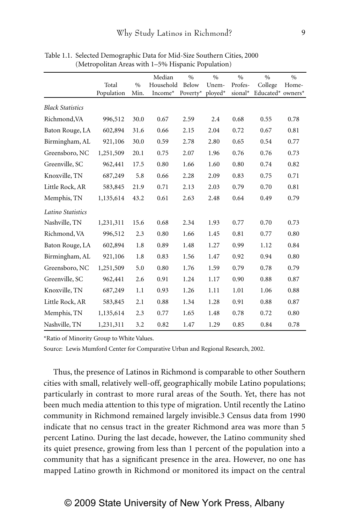|                         |            |      | Median    | $\%$     | $\%$    | $\%$    | $\%$              | $\%$  |
|-------------------------|------------|------|-----------|----------|---------|---------|-------------------|-------|
|                         | Total      | $\%$ | Household | Below    | Unem-   | Profes- | College           | Home- |
|                         | Population | Min. | Income*   | Poverty* | ployed* | sional* | Educated* owners* |       |
| <b>Black Statistics</b> |            |      |           |          |         |         |                   |       |
| Richmond, VA            | 996,512    | 30.0 | 0.67      | 2.59     | 2.4     | 0.68    | 0.55              | 0.78  |
| Baton Rouge, LA         | 602,894    | 31.6 | 0.66      | 2.15     | 2.04    | 0.72    | 0.67              | 0.81  |
| Birmingham, AL          | 921,106    | 30.0 | 0.59      | 2.78     | 2.80    | 0.65    | 0.54              | 0.77  |
| Greensboro, NC          | 1,251,509  | 20.1 | 0.75      | 2.07     | 1.96    | 0.76    | 0.76              | 0.73  |
| Greenville, SC          | 962,441    | 17.5 | 0.80      | 1.66     | 1.60    | 0.80    | 0.74              | 0.82  |
| Knoxville, TN           | 687,249    | 5.8  | 0.66      | 2.28     | 2.09    | 0.83    | 0.75              | 0.71  |
| Little Rock, AR         | 583,845    | 21.9 | 0.71      | 2.13     | 2.03    | 0.79    | 0.70              | 0.81  |
| Memphis, TN             | 1,135,614  | 43.2 | 0.61      | 2.63     | 2.48    | 0.64    | 0.49              | 0.79  |
| Latino Statistics       |            |      |           |          |         |         |                   |       |
| Nashville, TN           | 1,231,311  | 15.6 | 0.68      | 2.34     | 1.93    | 0.77    | 0.70              | 0.73  |
| Richmond, VA            | 996,512    | 2.3  | 0.80      | 1.66     | 1.45    | 0.81    | 0.77              | 0.80  |
| Baton Rouge, LA         | 602,894    | 1.8  | 0.89      | 1.48     | 1.27    | 0.99    | 1.12              | 0.84  |
| Birmingham, AL          | 921,106    | 1.8  | 0.83      | 1.56     | 1.47    | 0.92    | 0.94              | 0.80  |
| Greensboro, NC          | 1,251,509  | 5.0  | 0.80      | 1.76     | 1.59    | 0.79    | 0.78              | 0.79  |
| Greenville, SC          | 962,441    | 2.6  | 0.91      | 1.24     | 1.17    | 0.90    | 0.88              | 0.87  |
| Knoxville, TN           | 687,249    | 1.1  | 0.93      | 1.26     | 1.11    | 1.01    | 1.06              | 0.88  |
| Little Rock, AR         | 583,845    | 2.1  | 0.88      | 1.34     | 1.28    | 0.91    | 0.88              | 0.87  |
| Memphis, TN             | 1,135,614  | 2.3  | 0.77      | 1.65     | 1.48    | 0.78    | 0.72              | 0.80  |
| Nashville, TN           | 1,231,311  | 3.2  | 0.82      | 1.47     | 1.29    | 0.85    | 0.84              | 0.78  |

Table 1.1. Selected Demographic Data for Mid-Size Southern Cities, 2000 (Metropolitan Areas with 1–5% Hispanic Population)

\*Ratio of Minority Group to White Values.

Source: Lewis Mumford Center for Comparative Urban and Regional Research, 2002.

Thus, the presence of Latinos in Richmond is comparable to other Southern cities with small, relatively well-off, geographically mobile Latino populations; particularly in contrast to more rural areas of the South. Yet, there has not been much media attention to this type of migration. Until recently the Latino community in Richmond remained largely invisible.3 Census data from 1990 indicate that no census tract in the greater Richmond area was more than 5 percent Latino. During the last decade, however, the Latino community shed its quiet presence, growing from less than 1 percent of the population into a community that has a significant presence in the area. However, no one has mapped Latino growth in Richmond or monitored its impact on the central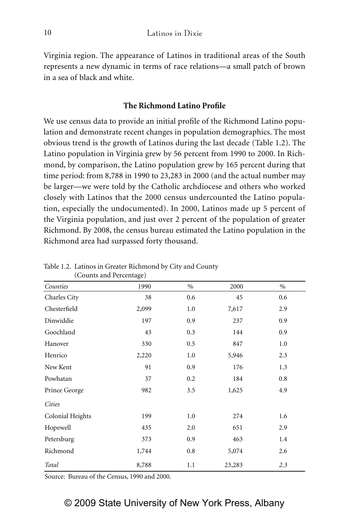Virginia region. The appearance of Latinos in traditional areas of the South represents a new dynamic in terms of race relations—a small patch of brown in a sea of black and white.

#### **The Richmond Latino Profile**

We use census data to provide an initial profile of the Richmond Latino population and demonstrate recent changes in population demographics. The most obvious trend is the growth of Latinos during the last decade (Table 1.2). The Latino population in Virginia grew by 56 percent from 1990 to 2000. In Richmond, by comparison, the Latino population grew by 165 percent during that time period: from 8,788 in 1990 to 23,283 in 2000 (and the actual number may be larger—we were told by the Catholic archdiocese and others who worked closely with Latinos that the 2000 census undercounted the Latino population, especially the undocumented). In 2000, Latinos made up 5 percent of the Virginia population, and just over 2 percent of the population of greater Richmond. By 2008, the census bureau estimated the Latino population in the Richmond area had surpassed forty thousand.

| (Counts and Percentage) |       |      |        |      |  |
|-------------------------|-------|------|--------|------|--|
| Counties                | 1990  | $\%$ | 2000   | $\%$ |  |
| Charles City            | 38    | 0.6  | 45     | 0.6  |  |
| Chesterfield            | 2,099 | 1.0  | 7,617  | 2.9  |  |
| Dinwiddie               | 197   | 0.9  | 237    | 0.9  |  |
| Goochland               | 43    | 0.3  | 144    | 0.9  |  |
| Hanover                 | 330   | 0.5  | 847    | 1.0  |  |
| Henrico                 | 2,220 | 1.0  | 5,946  | 2.3  |  |
| New Kent                | 91    | 0.9  | 176    | 1.3  |  |
| Powhatan                | 37    | 0.2  | 184    | 0.8  |  |
| Prince George           | 982   | 3.5  | 1,625  | 4.9  |  |
| Cities                  |       |      |        |      |  |
| Colonial Heights        | 199   | 1.0  | 274    | 1.6  |  |
| Hopewell                | 435   | 2.0  | 651    | 2.9  |  |
| Petersburg              | 373   | 0.9  | 463    | 1.4  |  |
| Richmond                | 1,744 | 0.8  | 5,074  | 2.6  |  |
| Total                   | 8,788 | 1.1  | 23,283 | 2.3  |  |

Table 1.2. Latinos in Greater Richmond by City and County

Source: Bureau of the Census, 1990 and 2000.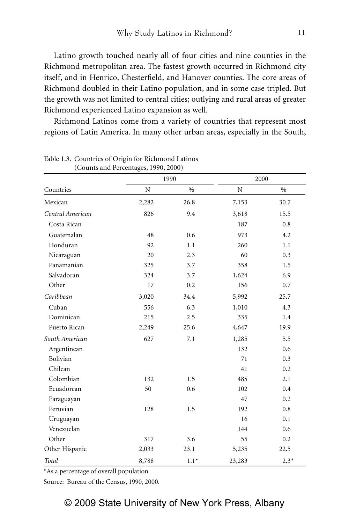Latino growth touched nearly all of four cities and nine counties in the Richmond metropolitan area. The fastest growth occurred in Richmond city itself, and in Henrico, Chesterfield, and Hanover counties. The core areas of Richmond doubled in their Latino population, and in some case tripled. But the growth was not limited to central cities; outlying and rural areas of greater Richmond experienced Latino expansion as well.

Richmond Latinos come from a variety of countries that represent most regions of Latin America. In many other urban areas, especially in the South,

|                  |       | 1990   |         | 2000   |  |
|------------------|-------|--------|---------|--------|--|
| Countries        | N     | $\%$   | $\rm N$ | $\%$   |  |
| Mexican          | 2,282 | 26.8   | 7,153   | 30.7   |  |
| Central American | 826   | 9.4    | 3,618   | 15.5   |  |
| Costa Rican      |       |        | 187     | 0.8    |  |
| Guatemalan       | 48    | 0.6    | 973     | 4.2    |  |
| Honduran         | 92    | 1.1    | 260     | 1.1    |  |
| Nicaraguan       | 20    | 2.3    | 60      | 0.3    |  |
| Panamanian       | 325   | 3.7    | 358     | 1.5    |  |
| Salvadoran       | 324   | 3.7    | 1,624   | 6.9    |  |
| Other            | 17    | 0.2    | 156     | 0.7    |  |
| Caribbean        | 3,020 | 34.4   | 5,992   | 25.7   |  |
| Cuban            | 556   | 6.3    | 1,010   | 4.3    |  |
| Dominican        | 215   | 2.5    | 335     | 1.4    |  |
| Puerto Rican     | 2,249 | 25.6   | 4,647   | 19.9   |  |
| South American   | 627   | 7.1    | 1,285   | 5.5    |  |
| Argentinean      |       |        | 132     | 0.6    |  |
| Bolivian         |       |        | 71      | 0.3    |  |
| Chilean          |       |        | 41      | 0.2    |  |
| Colombian        | 132   | 1.5    | 485     | 2.1    |  |
| Ecuadorean       | 50    | 0.6    | 102     | 0.4    |  |
| Paraguayan       |       |        | 47      | 0.2    |  |
| Peruvian         | 128   | 1.5    | 192     | 0.8    |  |
| Uruguayan        |       |        | 16      | 0.1    |  |
| Venezuelan       |       |        | 144     | 0.6    |  |
| Other            | 317   | 3.6    | 55      | 0.2    |  |
| Other Hispanic   | 2,033 | 23.1   | 5,235   | 22.5   |  |
| Total            | 8,788 | $1.1*$ | 23,283  | $2.3*$ |  |

Table 1.3. Countries of Origin for Richmond Latinos (Counts and Percentages, 1990, 2000)

\*As a percentage of overall population

Source: Bureau of the Census, 1990, 2000.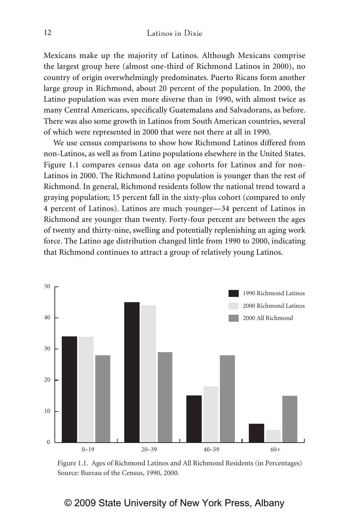Mexicans make up the majority of Latinos. Although Mexicans comprise the largest group here (almost one-third of Richmond Latinos in 2000), no country of origin overwhelmingly predominates. Puerto Ricans form another large group in Richmond, about 20 percent of the population. In 2000, the Latino population was even more diverse than in 1990, with almost twice as many Central Americans, specifically Guatemalans and Salvadorans, as before. There was also some growth in Latinos from South American countries, several of which were represented in 2000 that were not there at all in 1990.

We use census comparisons to show how Richmond Latinos differed from non-Latinos, as well as from Latino populations elsewhere in the United States. Figure 1.1 compares census data on age cohorts for Latinos and for non-Latinos in 2000. The Richmond Latino population is younger than the rest of Richmond. In general, Richmond residents follow the national trend toward a graying population; 15 percent fall in the sixty-plus cohort (compared to only 4 percent of Latinos). Latinos are much younger—34 percent of Latinos in Richmond are younger than twenty. Forty-four percent are between the ages of twenty and thirty-nine, swelling and potentially replenishing an aging work force. The Latino age distribution changed little from 1990 to 2000, indicating that Richmond continues to attract a group of relatively young Latinos.



Figure 1.1. Ages of Richmond Latinos and All Richmond Residents (in Percentages) Source: Bureau of the Census, 1990, 2000.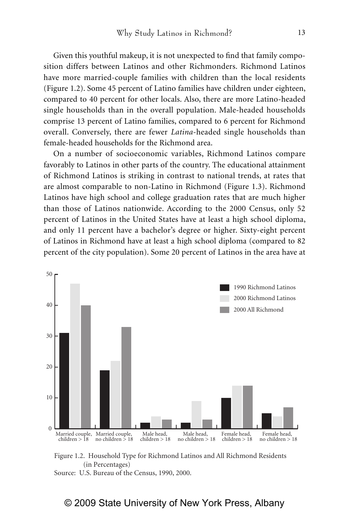Given this youthful makeup, it is not unexpected to find that family composition differs between Latinos and other Richmonders. Richmond Latinos have more married-couple families with children than the local residents (Figure 1.2). Some 45 percent of Latino families have children under eighteen, compared to 40 percent for other locals. Also, there are more Latino-headed single households than in the overall population. Male-headed households comprise 13 percent of Latino families, compared to 6 percent for Richmond overall. Conversely, there are fewer *Latina*-headed single households than female-headed households for the Richmond area.

On a number of socioeconomic variables, Richmond Latinos compare favorably to Latinos in other parts of the country. The educational attainment of Richmond Latinos is striking in contrast to national trends, at rates that are almost comparable to non-Latino in Richmond (Figure 1.3). Richmond Latinos have high school and college graduation rates that are much higher than those of Latinos nationwide. According to the 2000 Census, only 52 percent of Latinos in the United States have at least a high school diploma, and only 11 percent have a bachelor's degree or higher. Sixty-eight percent of Latinos in Richmond have at least a high school diploma (compared to 82 percent of the city population). Some 20 percent of Latinos in the area have at





Source: U.S. Bureau of the Census, 1990, 2000.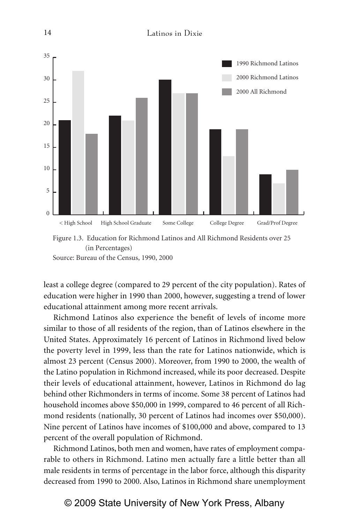

Figure 1.3. Education for Richmond Latinos and All Richmond Residents over 25 (in Percentages) Source: Bureau of the Census, 1990, 2000

least a college degree (compared to 29 percent of the city population). Rates of education were higher in 1990 than 2000, however, suggesting a trend of lower educational attainment among more recent arrivals.

Richmond Latinos also experience the benefit of levels of income more similar to those of all residents of the region, than of Latinos elsewhere in the United States. Approximately 16 percent of Latinos in Richmond lived below the poverty level in 1999, less than the rate for Latinos nationwide, which is almost 23 percent (Census 2000). Moreover, from 1990 to 2000, the wealth of the Latino population in Richmond increased, while its poor decreased. Despite their levels of educational attainment, however, Latinos in Richmond do lag behind other Richmonders in terms of income. Some 38 percent of Latinos had household incomes above \$50,000 in 1999, compared to 46 percent of all Richmond residents (nationally, 30 percent of Latinos had incomes over \$50,000). Nine percent of Latinos have incomes of \$100,000 and above, compared to 13 percent of the overall population of Richmond.

Richmond Latinos, both men and women, have rates of employment comparable to others in Richmond. Latino men actually fare a little better than all male residents in terms of percentage in the labor force, although this disparity decreased from 1990 to 2000. Also, Latinos in Richmond share unemployment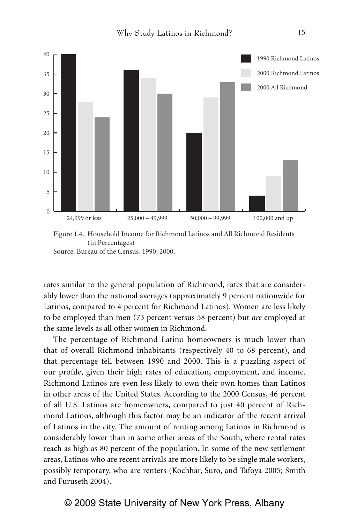



rates similar to the general population of Richmond, rates that are considerably lower than the national averages (approximately 9 percent nationwide for Latinos, compared to 4 percent for Richmond Latinos). Women are less likely to be employed than men (73 percent versus 58 percent) but *are* employed at the same levels as all other women in Richmond.

The percentage of Richmond Latino homeowners is much lower than that of overall Richmond inhabitants (respectively 40 to 68 percent), and that percentage fell between 1990 and 2000. This is a puzzling aspect of our profile, given their high rates of education, employment, and income. Richmond Latinos are even less likely to own their own homes than Latinos in other areas of the United States. According to the 2000 Census, 46 percent of all U.S. Latinos are homeowners, compared to just 40 percent of Richmond Latinos, although this factor may be an indicator of the recent arrival of Latinos in the city. The amount of renting among Latinos in Richmond *is* considerably lower than in some other areas of the South, where rental rates reach as high as 80 percent of the population. In some of the new settlement areas, Latinos who are recent arrivals are more likely to be single male workers, possibly temporary, who are renters (Kochhar, Suro, and Tafoya 2005; Smith and Furuseth 2004).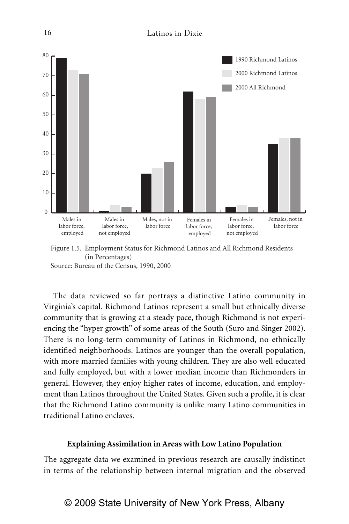

Figure 1.5. Employment Status for Richmond Latinos and All Richmond Residents (in Percentages) Source: Bureau of the Census, 1990, 2000

The data reviewed so far portrays a distinctive Latino community in Virginia's capital. Richmond Latinos represent a small but ethnically diverse community that is growing at a steady pace, though Richmond is not experiencing the "hyper growth" of some areas of the South (Suro and Singer 2002). There is no long-term community of Latinos in Richmond, no ethnically identified neighborhoods. Latinos are younger than the overall population, with more married families with young children. They are also well educated and fully employed, but with a lower median income than Richmonders in general. However, they enjoy higher rates of income, education, and employment than Latinos throughout the United States. Given such a profile, it is clear that the Richmond Latino community is unlike many Latino communities in traditional Latino enclaves.

#### **Explaining Assimilation in Areas with Low Latino Population**

The aggregate data we examined in previous research are causally indistinct in terms of the relationship between internal migration and the observed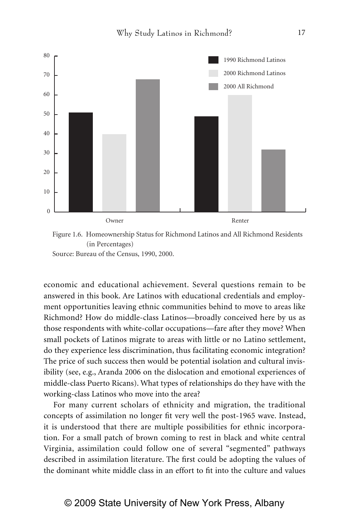

Figure 1.6. Homeownership Status for Richmond Latinos and All Richmond Residents (in Percentages) Source: Bureau of the Census, 1990, 2000.

economic and educational achievement. Several questions remain to be answered in this book. Are Latinos with educational credentials and employment opportunities leaving ethnic communities behind to move to areas like Richmond? How do middle-class Latinos—broadly conceived here by us as those respondents with white-collar occupations—fare after they move? When small pockets of Latinos migrate to areas with little or no Latino settlement, do they experience less discrimination, thus facilitating economic integration? The price of such success then would be potential isolation and cultural invisibility (see, e.g., Aranda 2006 on the dislocation and emotional experiences of middle-class Puerto Ricans). What types of relationships do they have with the working-class Latinos who move into the area?

For many current scholars of ethnicity and migration, the traditional concepts of assimilation no longer fi t very well the post-1965 wave. Instead, it is understood that there are multiple possibilities for ethnic incorporation. For a small patch of brown coming to rest in black and white central Virginia, assimilation could follow one of several "segmented" pathways described in assimilation literature. The first could be adopting the values of the dominant white middle class in an effort to fi t into the culture and values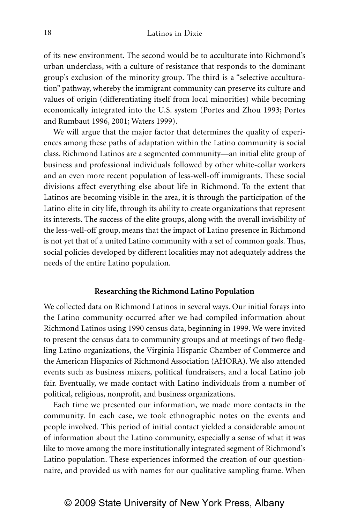of its new environment. The second would be to acculturate into Richmond's urban underclass, with a culture of resistance that responds to the dominant group's exclusion of the minority group. The third is a "selective acculturation" pathway, whereby the immigrant community can preserve its culture and values of origin (differentiating itself from local minorities) while becoming economically integrated into the U.S. system (Portes and Zhou 1993; Portes and Rumbaut 1996, 2001; Waters 1999).

We will argue that the major factor that determines the quality of experiences among these paths of adaptation within the Latino community is social class. Richmond Latinos are a segmented community—an initial elite group of business and professional individuals followed by other white-collar workers and an even more recent population of less-well-off immigrants. These social divisions affect everything else about life in Richmond. To the extent that Latinos are becoming visible in the area, it is through the participation of the Latino elite in city life, through its ability to create organizations that represent its interests. The success of the elite groups, along with the overall invisibility of the less-well-off group, means that the impact of Latino presence in Richmond is not yet that of a united Latino community with a set of common goals. Thus, social policies developed by different localities may not adequately address the needs of the entire Latino population.

#### **Researching the Richmond Latino Population**

We collected data on Richmond Latinos in several ways. Our initial forays into the Latino community occurred after we had compiled information about Richmond Latinos using 1990 census data, beginning in 1999. We were invited to present the census data to community groups and at meetings of two fledgling Latino organizations, the Virginia Hispanic Chamber of Commerce and the American Hispanics of Richmond Association (AHORA). We also attended events such as business mixers, political fundraisers, and a local Latino job fair. Eventually, we made contact with Latino individuals from a number of political, religious, nonprofit, and business organizations.

Each time we presented our information, we made more contacts in the community. In each case, we took ethnographic notes on the events and people involved. This period of initial contact yielded a considerable amount of information about the Latino community, especially a sense of what it was like to move among the more institutionally integrated segment of Richmond's Latino population. These experiences informed the creation of our questionnaire, and provided us with names for our qualitative sampling frame. When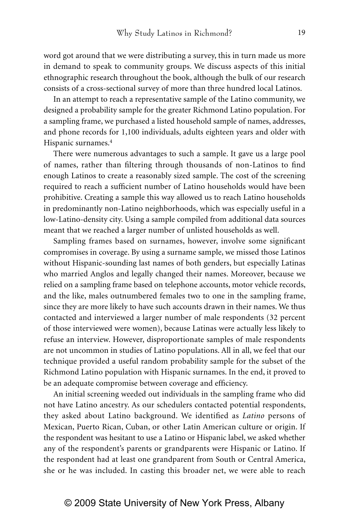word got around that we were distributing a survey, this in turn made us more in demand to speak to community groups. We discuss aspects of this initial ethnographic research throughout the book, although the bulk of our research consists of a cross-sectional survey of more than three hundred local Latinos.

In an attempt to reach a representative sample of the Latino community, we designed a probability sample for the greater Richmond Latino population. For a sampling frame, we purchased a listed household sample of names, addresses, and phone records for 1,100 individuals, adults eighteen years and older with Hispanic surnames.4

There were numerous advantages to such a sample. It gave us a large pool of names, rather than filtering through thousands of non-Latinos to find enough Latinos to create a reasonably sized sample. The cost of the screening required to reach a sufficient number of Latino households would have been prohibitive. Creating a sample this way allowed us to reach Latino households in predominantly non-Latino neighborhoods, which was especially useful in a low-Latino-density city. Using a sample compiled from additional data sources meant that we reached a larger number of unlisted households as well.

Sampling frames based on surnames, however, involve some significant compromises in coverage. By using a surname sample, we missed those Latinos without Hispanic-sounding last names of both genders, but especially Latinas who married Anglos and legally changed their names. Moreover, because we relied on a sampling frame based on telephone accounts, motor vehicle records, and the like, males outnumbered females two to one in the sampling frame, since they are more likely to have such accounts drawn in their names. We thus contacted and interviewed a larger number of male respondents (32 percent of those interviewed were women), because Latinas were actually less likely to refuse an interview. However, disproportionate samples of male respondents are not uncommon in studies of Latino populations. All in all, we feel that our technique provided a useful random probability sample for the subset of the Richmond Latino population with Hispanic surnames. In the end, it proved to be an adequate compromise between coverage and efficiency.

An initial screening weeded out individuals in the sampling frame who did not have Latino ancestry. As our schedulers contacted potential respondents, they asked about Latino background. We identified as *Latino* persons of Mexican, Puerto Rican, Cuban, or other Latin American culture or origin. If the respondent was hesitant to use a Latino or Hispanic label, we asked whether any of the respondent's parents or grandparents were Hispanic or Latino. If the respondent had at least one grandparent from South or Central America, she or he was included. In casting this broader net, we were able to reach